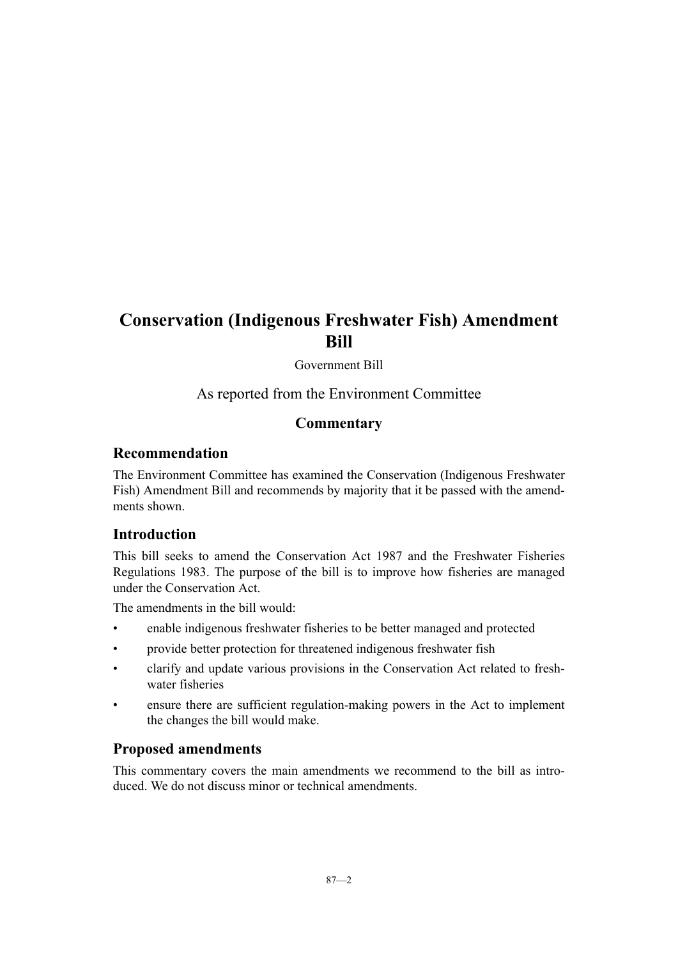# **Conservation (Indigenous Freshwater Fish) Amendment Bill**

Government Bill

As reported from the Environment Committee

## **Commentary**

## **Recommendation**

The Environment Committee has examined the Conservation (Indigenous Freshwater Fish) Amendment Bill and recommends by majority that it be passed with the amendments shown.

## **Introduction**

This bill seeks to amend the Conservation Act 1987 and the Freshwater Fisheries Regulations 1983. The purpose of the bill is to improve how fisheries are managed under the Conservation Act.

The amendments in the bill would:

- enable indigenous freshwater fisheries to be better managed and protected
- provide better protection for threatened indigenous freshwater fish
- clarify and update various provisions in the Conservation Act related to freshwater fisheries
- ensure there are sufficient regulation-making powers in the Act to implement the changes the bill would make.

## **Proposed amendments**

This commentary covers the main amendments we recommend to the bill as introduced. We do not discuss minor or technical amendments.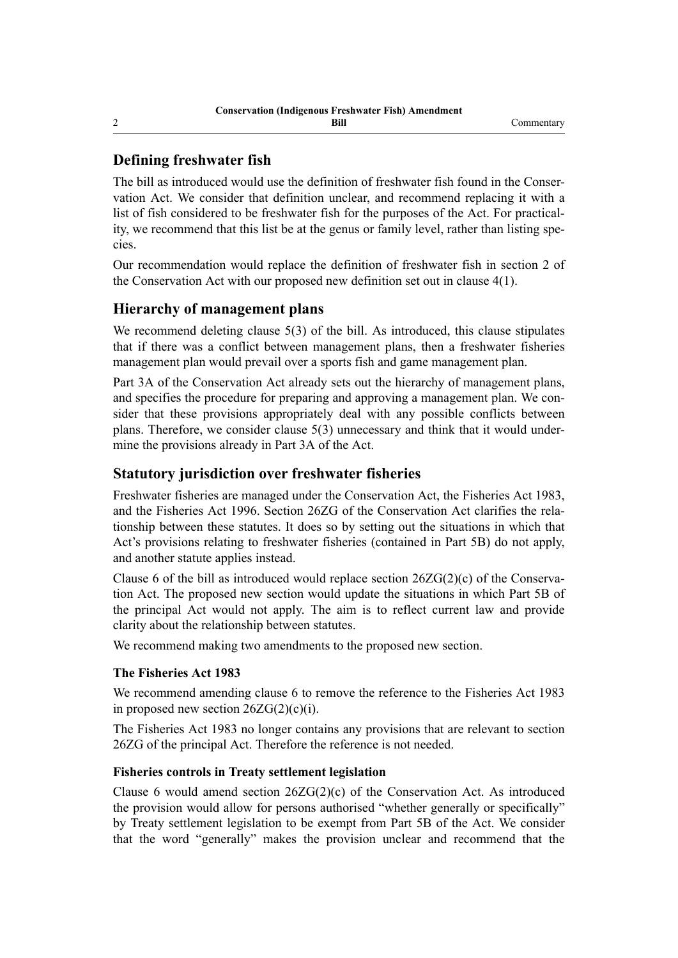## **Defining freshwater fish**

The bill as introduced would use the definition of freshwater fish found in the Conservation Act. We consider that definition unclear, and recommend replacing it with a list of fish considered to be freshwater fish for the purposes of the Act. For practicality, we recommend that this list be at the genus or family level, rather than listing species.

Our recommendation would replace the definition of freshwater fish in section 2 of the Conservation Act with our proposed new definition set out in clause 4(1).

## **Hierarchy of management plans**

We recommend deleting clause 5(3) of the bill. As introduced, this clause stipulates that if there was a conflict between management plans, then a freshwater fisheries management plan would prevail over a sports fish and game management plan.

Part 3A of the Conservation Act already sets out the hierarchy of management plans, and specifies the procedure for preparing and approving a management plan. We consider that these provisions appropriately deal with any possible conflicts between plans. Therefore, we consider clause 5(3) unnecessary and think that it would undermine the provisions already in Part 3A of the Act.

## **Statutory jurisdiction over freshwater fisheries**

Freshwater fisheries are managed under the Conservation Act, the Fisheries Act 1983, and the Fisheries Act 1996. Section 26ZG of the Conservation Act clarifies the relationship between these statutes. It does so by setting out the situations in which that Act's provisions relating to freshwater fisheries (contained in Part 5B) do not apply, and another statute applies instead.

Clause 6 of the bill as introduced would replace section 26ZG(2)(c) of the Conservation Act. The proposed new section would update the situations in which Part 5B of the principal Act would not apply. The aim is to reflect current law and provide clarity about the relationship between statutes.

We recommend making two amendments to the proposed new section.

#### **The Fisheries Act 1983**

We recommend amending clause 6 to remove the reference to the Fisheries Act 1983 in proposed new section  $26ZG(2)(c)(i)$ .

The Fisheries Act 1983 no longer contains any provisions that are relevant to section 26ZG of the principal Act. Therefore the reference is not needed.

#### **Fisheries controls in Treaty settlement legislation**

Clause 6 would amend section  $26ZG(2)(c)$  of the Conservation Act. As introduced the provision would allow for persons authorised "whether generally or specifically" by Treaty settlement legislation to be exempt from Part 5B of the Act. We consider that the word "generally" makes the provision unclear and recommend that the

2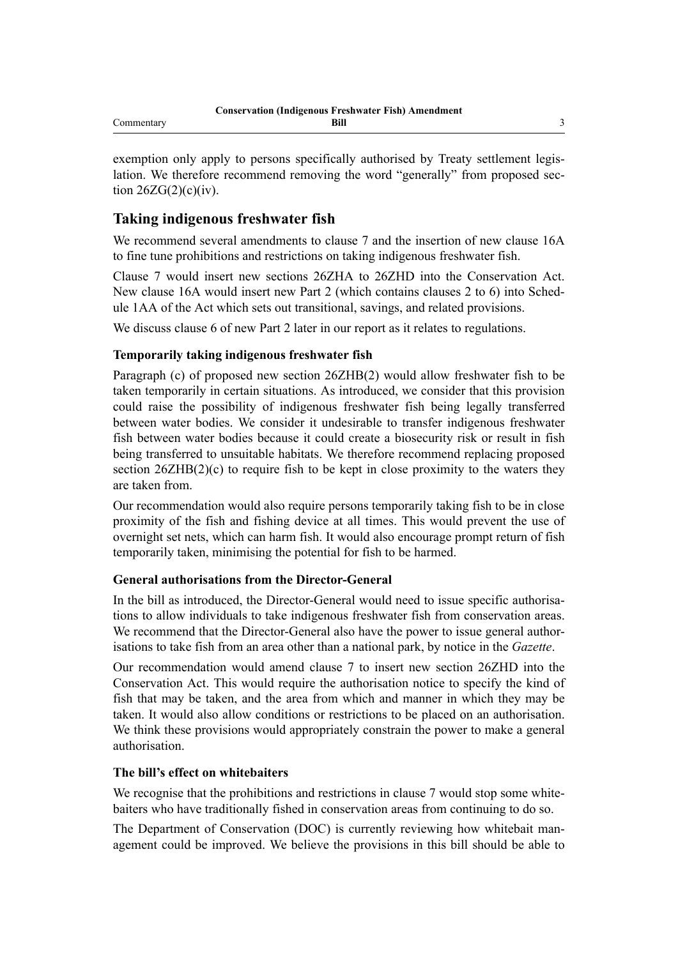exemption only apply to persons specifically authorised by Treaty settlement legislation. We therefore recommend removing the word "generally" from proposed section  $26ZG(2)(c)(iv)$ .

## **Taking indigenous freshwater fish**

We recommend several amendments to clause 7 and the insertion of new clause 16A to fine tune prohibitions and restrictions on taking indigenous freshwater fish.

Clause 7 would insert new sections 26ZHA to 26ZHD into the Conservation Act. New clause 16A would insert new Part 2 (which contains clauses 2 to 6) into Schedule 1AA of the Act which sets out transitional, savings, and related provisions.

We discuss clause 6 of new Part 2 later in our report as it relates to regulations.

#### **Temporarily taking indigenous freshwater fish**

Paragraph (c) of proposed new section 26ZHB(2) would allow freshwater fish to be taken temporarily in certain situations. As introduced, we consider that this provision could raise the possibility of indigenous freshwater fish being legally transferred between water bodies. We consider it undesirable to transfer indigenous freshwater fish between water bodies because it could create a biosecurity risk or result in fish being transferred to unsuitable habitats. We therefore recommend replacing proposed section  $26ZHB(2)(c)$  to require fish to be kept in close proximity to the waters they are taken from.

Our recommendation would also require persons temporarily taking fish to be in close proximity of the fish and fishing device at all times. This would prevent the use of overnight set nets, which can harm fish. It would also encourage prompt return of fish temporarily taken, minimising the potential for fish to be harmed.

#### **General authorisations from the Director-General**

In the bill as introduced, the Director-General would need to issue specific authorisations to allow individuals to take indigenous freshwater fish from conservation areas. We recommend that the Director-General also have the power to issue general authorisations to take fish from an area other than a national park, by notice in the *Gazette*.

Our recommendation would amend clause 7 to insert new section 26ZHD into the Conservation Act. This would require the authorisation notice to specify the kind of fish that may be taken, and the area from which and manner in which they may be taken. It would also allow conditions or restrictions to be placed on an authorisation. We think these provisions would appropriately constrain the power to make a general authorisation.

#### **The bill's effect on whitebaiters**

We recognise that the prohibitions and restrictions in clause 7 would stop some whitebaiters who have traditionally fished in conservation areas from continuing to do so.

The Department of Conservation (DOC) is currently reviewing how whitebait management could be improved. We believe the provisions in this bill should be able to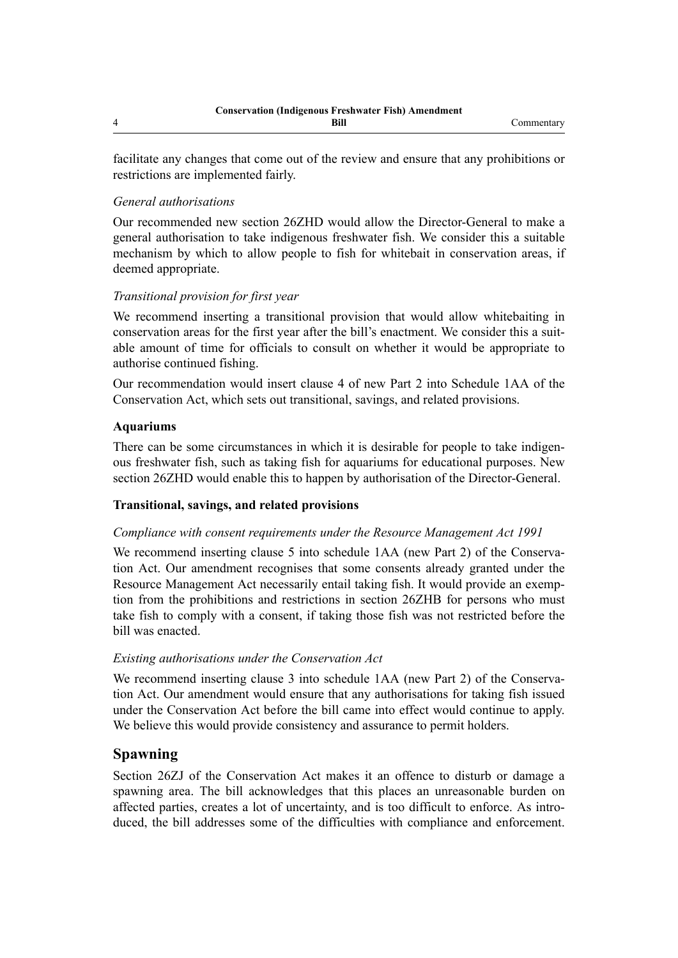facilitate any changes that come out of the review and ensure that any prohibitions or restrictions are implemented fairly.

### *General authorisations*

Our recommended new section 26ZHD would allow the Director-General to make a general authorisation to take indigenous freshwater fish. We consider this a suitable mechanism by which to allow people to fish for whitebait in conservation areas, if deemed appropriate.

#### *Transitional provision for first year*

We recommend inserting a transitional provision that would allow whitebaiting in conservation areas for the first year after the bill's enactment. We consider this a suitable amount of time for officials to consult on whether it would be appropriate to authorise continued fishing.

Our recommendation would insert clause 4 of new Part 2 into Schedule 1AA of the Conservation Act, which sets out transitional, savings, and related provisions.

#### **Aquariums**

There can be some circumstances in which it is desirable for people to take indigenous freshwater fish, such as taking fish for aquariums for educational purposes. New section 26ZHD would enable this to happen by authorisation of the Director-General.

#### **Transitional, savings, and related provisions**

#### *Compliance with consent requirements under the Resource Management Act 1991*

We recommend inserting clause 5 into schedule 1AA (new Part 2) of the Conservation Act. Our amendment recognises that some consents already granted under the Resource Management Act necessarily entail taking fish. It would provide an exemption from the prohibitions and restrictions in section 26ZHB for persons who must take fish to comply with a consent, if taking those fish was not restricted before the bill was enacted.

#### *Existing authorisations under the Conservation Act*

We recommend inserting clause 3 into schedule 1AA (new Part 2) of the Conservation Act. Our amendment would ensure that any authorisations for taking fish issued under the Conservation Act before the bill came into effect would continue to apply. We believe this would provide consistency and assurance to permit holders.

## **Spawning**

Section 26ZJ of the Conservation Act makes it an offence to disturb or damage a spawning area. The bill acknowledges that this places an unreasonable burden on affected parties, creates a lot of uncertainty, and is too difficult to enforce. As introduced, the bill addresses some of the difficulties with compliance and enforcement.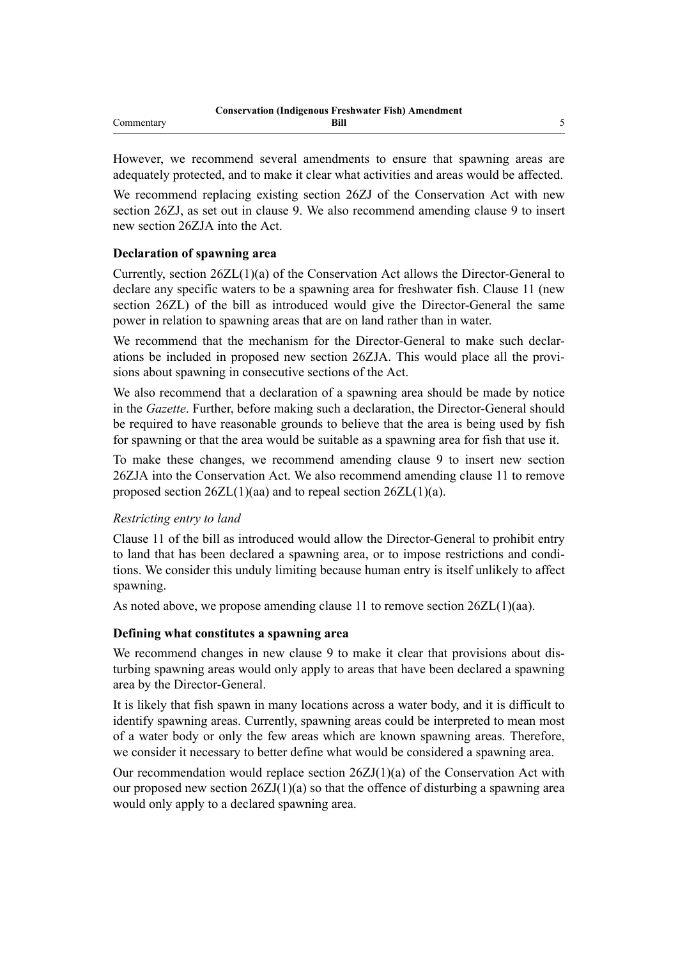However, we recommend several amendments to ensure that spawning areas are adequately protected, and to make it clear what activities and areas would be affected.

We recommend replacing existing section 26ZJ of the Conservation Act with new section 26ZJ, as set out in clause 9. We also recommend amending clause 9 to insert new section 26ZJA into the Act.

#### **Declaration of spawning area**

Currently, section 26ZL(1)(a) of the Conservation Act allows the Director-General to declare any specific waters to be a spawning area for freshwater fish. Clause 11 (new section 26ZL) of the bill as introduced would give the Director-General the same power in relation to spawning areas that are on land rather than in water.

We recommend that the mechanism for the Director-General to make such declarations be included in proposed new section 26ZJA. This would place all the provisions about spawning in consecutive sections of the Act.

We also recommend that a declaration of a spawning area should be made by notice in the *Gazette*. Further, before making such a declaration, the Director-General should be required to have reasonable grounds to believe that the area is being used by fish for spawning or that the area would be suitable as a spawning area for fish that use it.

To make these changes, we recommend amending clause 9 to insert new section 26ZJA into the Conservation Act. We also recommend amending clause 11 to remove proposed section  $26ZL(1)(aa)$  and to repeal section  $26ZL(1)(a)$ .

#### *Restricting entry to land*

Clause 11 of the bill as introduced would allow the Director-General to prohibit entry to land that has been declared a spawning area, or to impose restrictions and conditions. We consider this unduly limiting because human entry is itself unlikely to affect spawning.

As noted above, we propose amending clause 11 to remove section 26ZL(1)(aa).

#### **Defining what constitutes a spawning area**

We recommend changes in new clause 9 to make it clear that provisions about disturbing spawning areas would only apply to areas that have been declared a spawning area by the Director-General.

It is likely that fish spawn in many locations across a water body, and it is difficult to identify spawning areas. Currently, spawning areas could be interpreted to mean most of a water body or only the few areas which are known spawning areas. Therefore, we consider it necessary to better define what would be considered a spawning area.

Our recommendation would replace section 26ZJ(1)(a) of the Conservation Act with our proposed new section  $26ZJ(1)(a)$  so that the offence of disturbing a spawning area would only apply to a declared spawning area.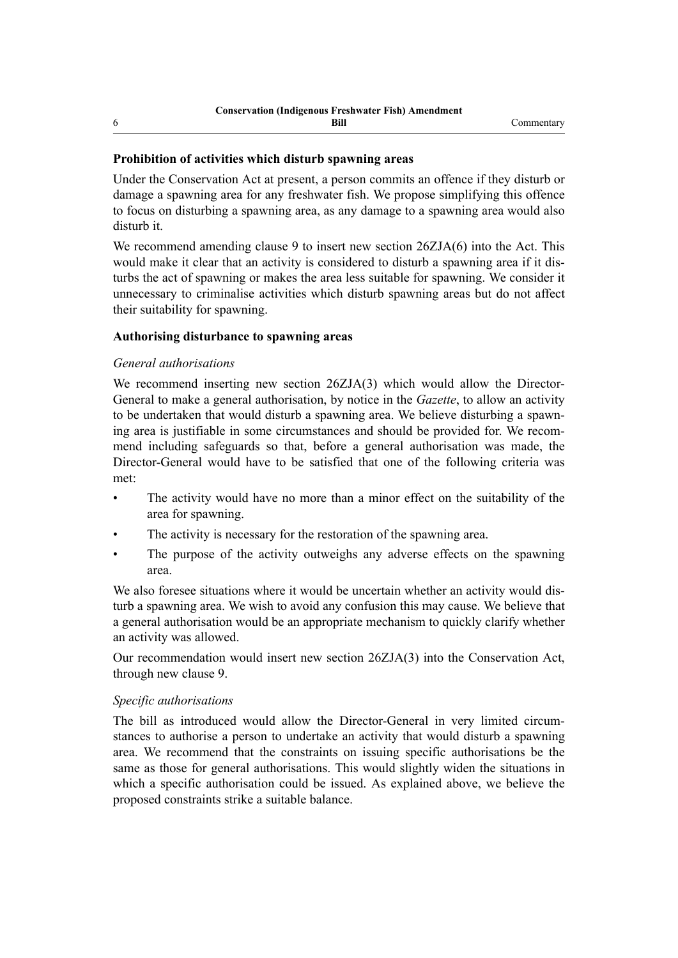#### **Prohibition of activities which disturb spawning areas**

Under the Conservation Act at present, a person commits an offence if they disturb or damage a spawning area for any freshwater fish. We propose simplifying this offence to focus on disturbing a spawning area, as any damage to a spawning area would also disturb it.

We recommend amending clause 9 to insert new section 26ZJA(6) into the Act. This would make it clear that an activity is considered to disturb a spawning area if it disturbs the act of spawning or makes the area less suitable for spawning. We consider it unnecessary to criminalise activities which disturb spawning areas but do not affect their suitability for spawning.

#### **Authorising disturbance to spawning areas**

#### *General authorisations*

We recommend inserting new section 26ZJA(3) which would allow the Director-General to make a general authorisation, by notice in the *Gazette*, to allow an activity to be undertaken that would disturb a spawning area. We believe disturbing a spawning area is justifiable in some circumstances and should be provided for. We recommend including safeguards so that, before a general authorisation was made, the Director-General would have to be satisfied that one of the following criteria was met:

- The activity would have no more than a minor effect on the suitability of the area for spawning.
- The activity is necessary for the restoration of the spawning area.
- The purpose of the activity outweighs any adverse effects on the spawning area.

We also foresee situations where it would be uncertain whether an activity would disturb a spawning area. We wish to avoid any confusion this may cause. We believe that a general authorisation would be an appropriate mechanism to quickly clarify whether an activity was allowed.

Our recommendation would insert new section 26ZJA(3) into the Conservation Act, through new clause 9.

#### *Specific authorisations*

The bill as introduced would allow the Director-General in very limited circumstances to authorise a person to undertake an activity that would disturb a spawning area. We recommend that the constraints on issuing specific authorisations be the same as those for general authorisations. This would slightly widen the situations in which a specific authorisation could be issued. As explained above, we believe the proposed constraints strike a suitable balance.

6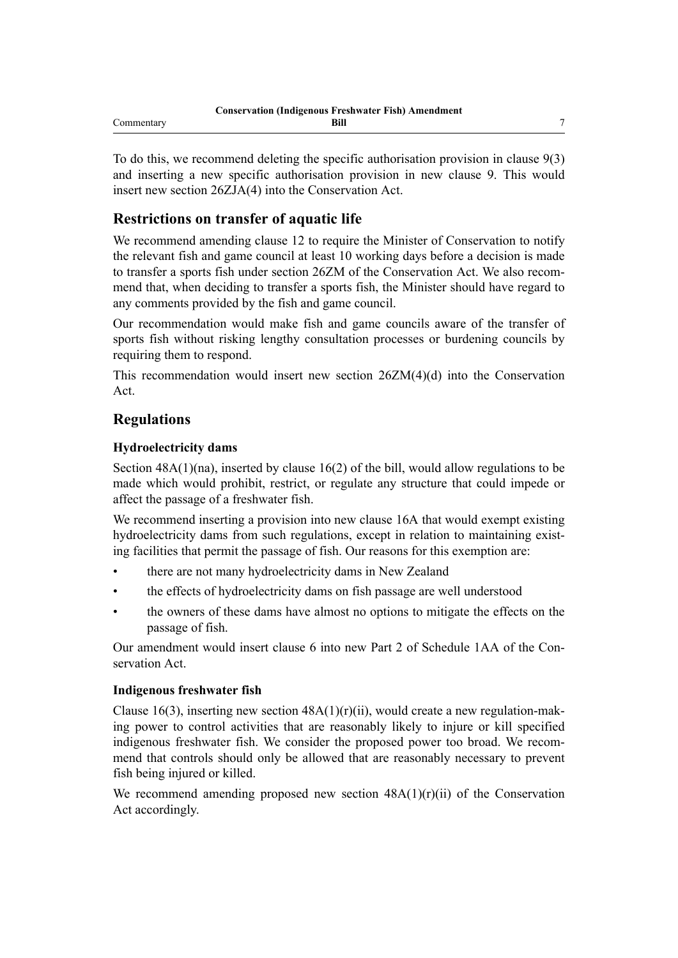To do this, we recommend deleting the specific authorisation provision in clause 9(3) and inserting a new specific authorisation provision in new clause 9. This would insert new section 26ZJA(4) into the Conservation Act.

## **Restrictions on transfer of aquatic life**

We recommend amending clause 12 to require the Minister of Conservation to notify the relevant fish and game council at least 10 working days before a decision is made to transfer a sports fish under section 26ZM of the Conservation Act. We also recommend that, when deciding to transfer a sports fish, the Minister should have regard to any comments provided by the fish and game council.

Our recommendation would make fish and game councils aware of the transfer of sports fish without risking lengthy consultation processes or burdening councils by requiring them to respond.

This recommendation would insert new section 26ZM(4)(d) into the Conservation Act.

## **Regulations**

#### **Hydroelectricity dams**

Section 48A(1)(na), inserted by clause 16(2) of the bill, would allow regulations to be made which would prohibit, restrict, or regulate any structure that could impede or affect the passage of a freshwater fish.

We recommend inserting a provision into new clause 16A that would exempt existing hydroelectricity dams from such regulations, except in relation to maintaining existing facilities that permit the passage of fish. Our reasons for this exemption are:

- there are not many hydroelectricity dams in New Zealand
- the effects of hydroelectricity dams on fish passage are well understood
- the owners of these dams have almost no options to mitigate the effects on the passage of fish.

Our amendment would insert clause 6 into new Part 2 of Schedule 1AA of the Conservation Act.

#### **Indigenous freshwater fish**

Clause 16(3), inserting new section  $48A(1)(r)(ii)$ , would create a new regulation-making power to control activities that are reasonably likely to injure or kill specified indigenous freshwater fish. We consider the proposed power too broad. We recommend that controls should only be allowed that are reasonably necessary to prevent fish being injured or killed.

We recommend amending proposed new section  $48A(1)(r)(ii)$  of the Conservation Act accordingly.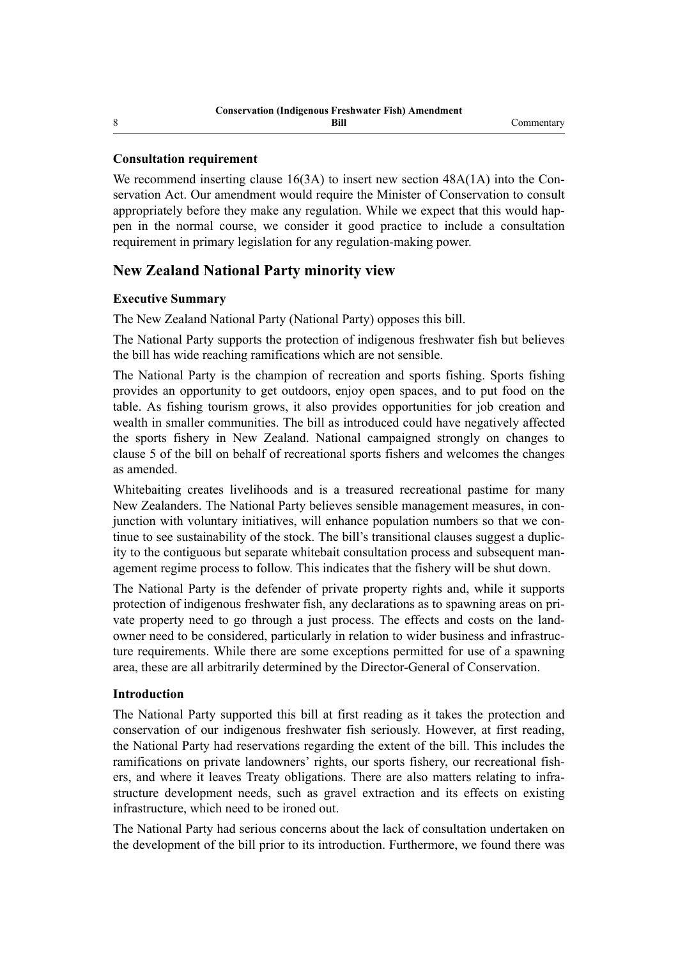#### **Consultation requirement**

We recommend inserting clause 16(3A) to insert new section 48A(1A) into the Conservation Act. Our amendment would require the Minister of Conservation to consult appropriately before they make any regulation. While we expect that this would happen in the normal course, we consider it good practice to include a consultation requirement in primary legislation for any regulation-making power.

## **New Zealand National Party minority view**

#### **Executive Summary**

The New Zealand National Party (National Party) opposes this bill.

The National Party supports the protection of indigenous freshwater fish but believes the bill has wide reaching ramifications which are not sensible.

The National Party is the champion of recreation and sports fishing. Sports fishing provides an opportunity to get outdoors, enjoy open spaces, and to put food on the table. As fishing tourism grows, it also provides opportunities for job creation and wealth in smaller communities. The bill as introduced could have negatively affected the sports fishery in New Zealand. National campaigned strongly on changes to clause 5 of the bill on behalf of recreational sports fishers and welcomes the changes as amended.

Whitebaiting creates livelihoods and is a treasured recreational pastime for many New Zealanders. The National Party believes sensible management measures, in conjunction with voluntary initiatives, will enhance population numbers so that we continue to see sustainability of the stock. The bill's transitional clauses suggest a duplicity to the contiguous but separate whitebait consultation process and subsequent management regime process to follow. This indicates that the fishery will be shut down.

The National Party is the defender of private property rights and, while it supports protection of indigenous freshwater fish, any declarations as to spawning areas on private property need to go through a just process. The effects and costs on the landowner need to be considered, particularly in relation to wider business and infrastructure requirements. While there are some exceptions permitted for use of a spawning area, these are all arbitrarily determined by the Director-General of Conservation.

#### **Introduction**

The National Party supported this bill at first reading as it takes the protection and conservation of our indigenous freshwater fish seriously. However, at first reading, the National Party had reservations regarding the extent of the bill. This includes the ramifications on private landowners' rights, our sports fishery, our recreational fishers, and where it leaves Treaty obligations. There are also matters relating to infrastructure development needs, such as gravel extraction and its effects on existing infrastructure, which need to be ironed out.

The National Party had serious concerns about the lack of consultation undertaken on the development of the bill prior to its introduction. Furthermore, we found there was

8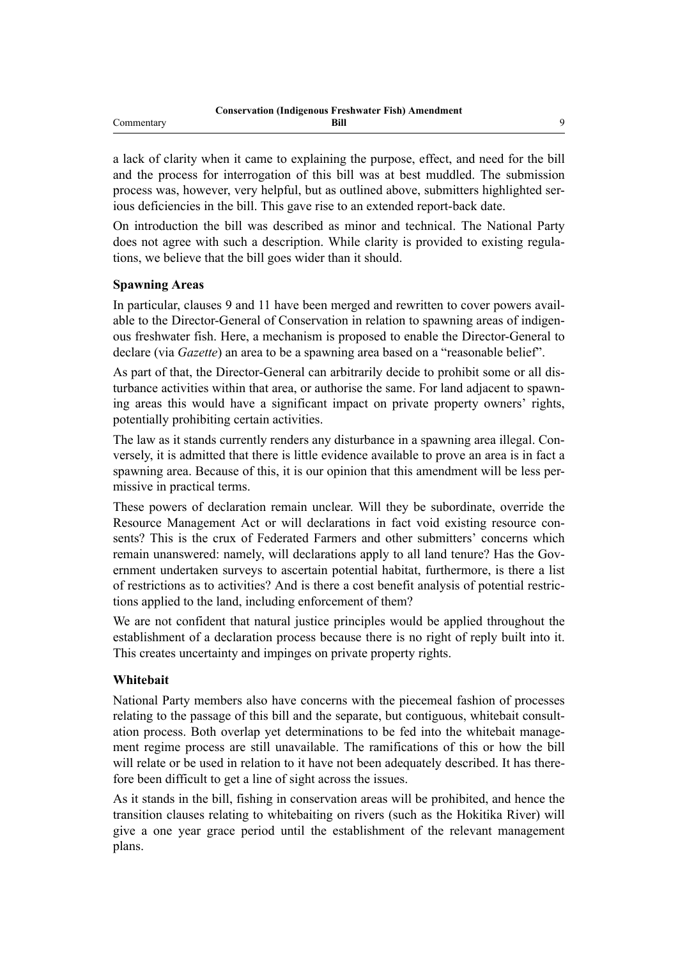a lack of clarity when it came to explaining the purpose, effect, and need for the bill and the process for interrogation of this bill was at best muddled. The submission process was, however, very helpful, but as outlined above, submitters highlighted serious deficiencies in the bill. This gave rise to an extended report-back date.

On introduction the bill was described as minor and technical. The National Party does not agree with such a description. While clarity is provided to existing regulations, we believe that the bill goes wider than it should.

#### **Spawning Areas**

In particular, clauses 9 and 11 have been merged and rewritten to cover powers available to the Director-General of Conservation in relation to spawning areas of indigenous freshwater fish. Here, a mechanism is proposed to enable the Director-General to declare (via *Gazette*) an area to be a spawning area based on a "reasonable belief".

As part of that, the Director-General can arbitrarily decide to prohibit some or all disturbance activities within that area, or authorise the same. For land adjacent to spawning areas this would have a significant impact on private property owners' rights, potentially prohibiting certain activities.

The law as it stands currently renders any disturbance in a spawning area illegal. Conversely, it is admitted that there is little evidence available to prove an area is in fact a spawning area. Because of this, it is our opinion that this amendment will be less permissive in practical terms.

These powers of declaration remain unclear. Will they be subordinate, override the Resource Management Act or will declarations in fact void existing resource consents? This is the crux of Federated Farmers and other submitters' concerns which remain unanswered: namely, will declarations apply to all land tenure? Has the Government undertaken surveys to ascertain potential habitat, furthermore, is there a list of restrictions as to activities? And is there a cost benefit analysis of potential restrictions applied to the land, including enforcement of them?

We are not confident that natural justice principles would be applied throughout the establishment of a declaration process because there is no right of reply built into it. This creates uncertainty and impinges on private property rights.

#### **Whitebait**

National Party members also have concerns with the piecemeal fashion of processes relating to the passage of this bill and the separate, but contiguous, whitebait consultation process. Both overlap yet determinations to be fed into the whitebait management regime process are still unavailable. The ramifications of this or how the bill will relate or be used in relation to it have not been adequately described. It has therefore been difficult to get a line of sight across the issues.

As it stands in the bill, fishing in conservation areas will be prohibited, and hence the transition clauses relating to whitebaiting on rivers (such as the Hokitika River) will give a one year grace period until the establishment of the relevant management plans.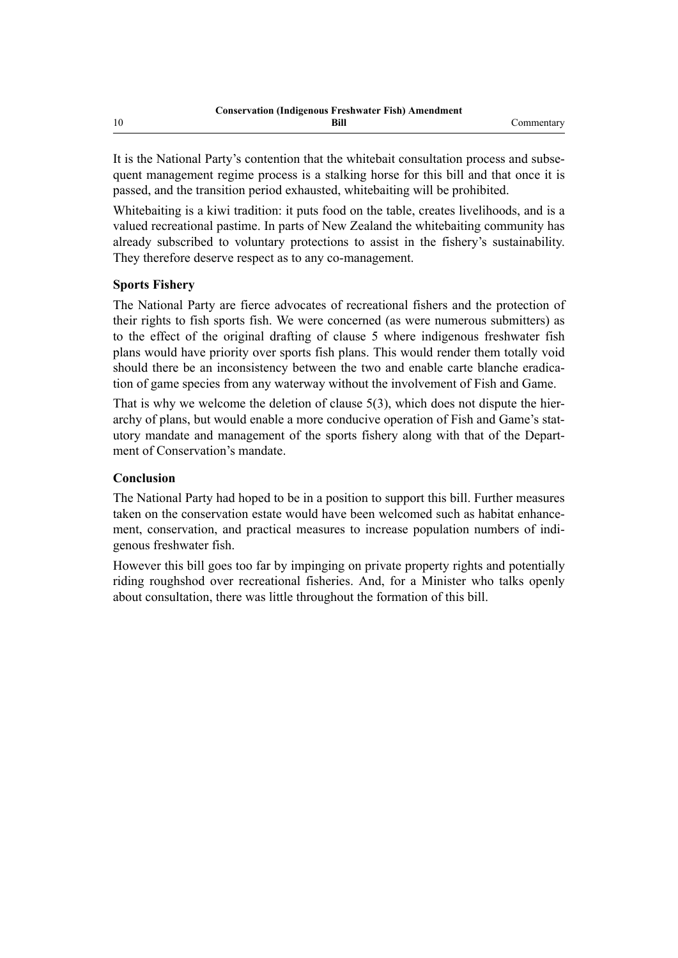It is the National Party's contention that the whitebait consultation process and subsequent management regime process is a stalking horse for this bill and that once it is passed, and the transition period exhausted, whitebaiting will be prohibited.

Whitebaiting is a kiwi tradition: it puts food on the table, creates livelihoods, and is a valued recreational pastime. In parts of New Zealand the whitebaiting community has already subscribed to voluntary protections to assist in the fishery's sustainability. They therefore deserve respect as to any co-management.

#### **Sports Fishery**

The National Party are fierce advocates of recreational fishers and the protection of their rights to fish sports fish. We were concerned (as were numerous submitters) as to the effect of the original drafting of clause 5 where indigenous freshwater fish plans would have priority over sports fish plans. This would render them totally void should there be an inconsistency between the two and enable carte blanche eradication of game species from any waterway without the involvement of Fish and Game.

That is why we welcome the deletion of clause 5(3), which does not dispute the hierarchy of plans, but would enable a more conducive operation of Fish and Game's statutory mandate and management of the sports fishery along with that of the Department of Conservation's mandate.

#### **Conclusion**

The National Party had hoped to be in a position to support this bill. Further measures taken on the conservation estate would have been welcomed such as habitat enhancement, conservation, and practical measures to increase population numbers of indigenous freshwater fish.

However this bill goes too far by impinging on private property rights and potentially riding roughshod over recreational fisheries. And, for a Minister who talks openly about consultation, there was little throughout the formation of this bill.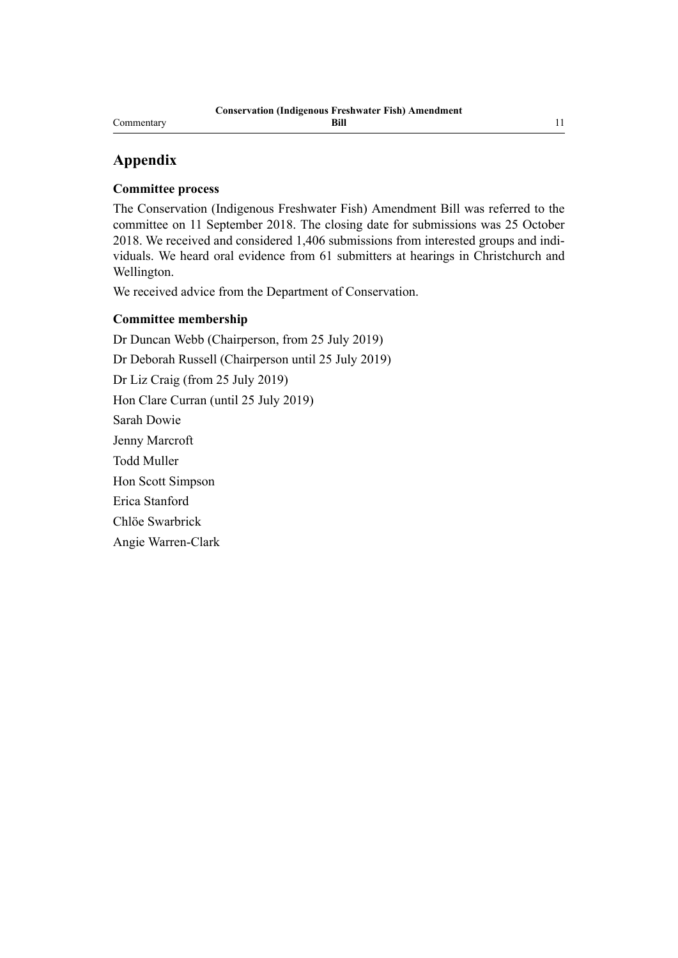#### Commentary

## **Appendix**

#### **Committee process**

The Conservation (Indigenous Freshwater Fish) Amendment Bill was referred to the committee on 11 September 2018. The closing date for submissions was 25 October 2018. We received and considered 1,406 submissions from interested groups and individuals. We heard oral evidence from 61 submitters at hearings in Christchurch and Wellington.

We received advice from the Department of Conservation.

#### **Committee membership**

Dr Duncan Webb (Chairperson, from 25 July 2019) Dr Deborah Russell (Chairperson until 25 July 2019) Dr Liz Craig (from 25 July 2019) Hon Clare Curran (until 25 July 2019) Sarah Dowie Jenny Marcroft Todd Muller Hon Scott Simpson Erica Stanford Chlöe Swarbrick Angie Warren-Clark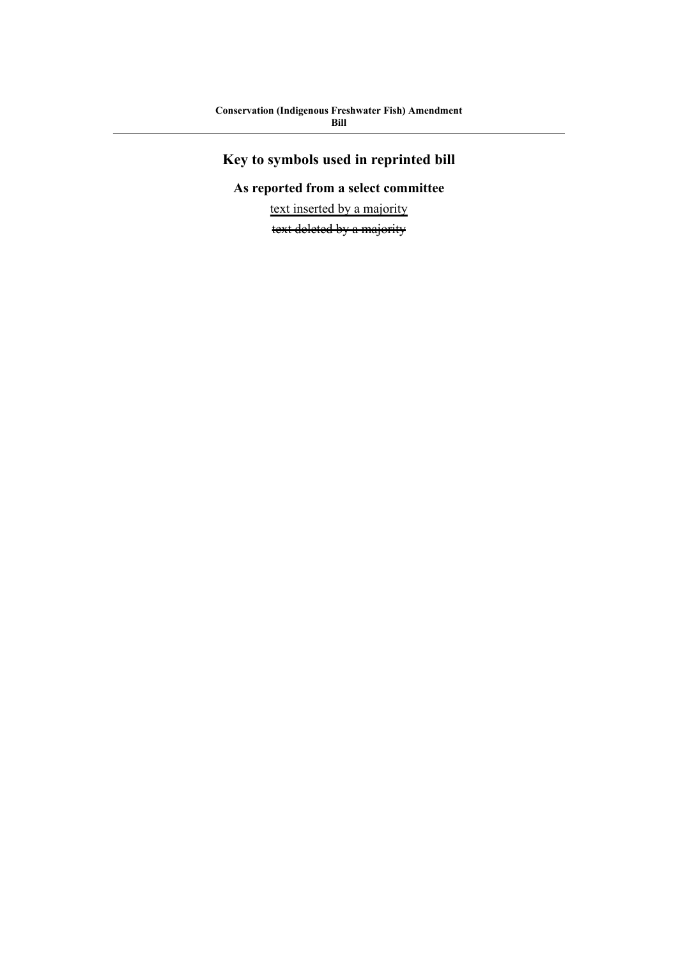# **Key to symbols used in reprinted bill**

## **As reported from a select committee**

text inserted by a majority

text deleted by a majority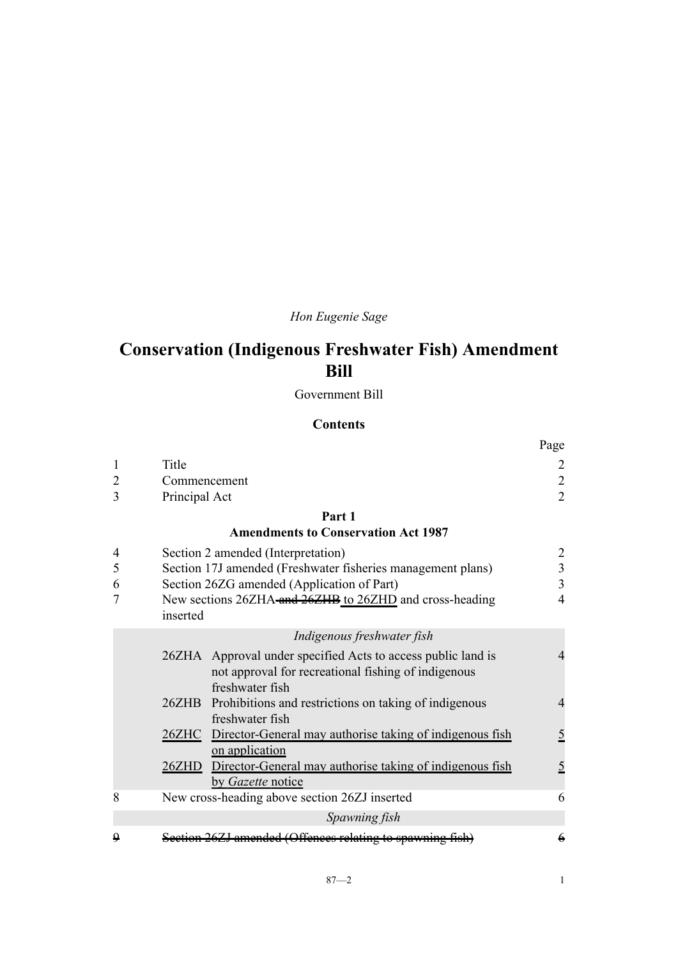## *Hon Eugenie Sage*

# **Conservation (Indigenous Freshwater Fish) Amendment Bill**

Government Bill

#### **Contents**

|   |                                                                                | Page           |
|---|--------------------------------------------------------------------------------|----------------|
| 1 | Title                                                                          |                |
| 2 | Commencement                                                                   | $\overline{2}$ |
| 3 | Principal Act                                                                  | $\overline{2}$ |
|   | Part 1                                                                         |                |
|   | <b>Amendments to Conservation Act 1987</b>                                     |                |
| 4 | Section 2 amended (Interpretation)                                             | $\overline{2}$ |
| 5 | Section 17J amended (Freshwater fisheries management plans)                    | 3              |
| 6 | Section 26ZG amended (Application of Part)                                     | $\overline{3}$ |
|   | New sections 26ZHA-and 26ZHB to 26ZHD and cross-heading                        | $\overline{4}$ |
|   | inserted                                                                       |                |
|   | Indigenous freshwater fish                                                     |                |
|   | 26ZHA Approval under specified Acts to access public land is                   | 4              |
|   | not approval for recreational fishing of indigenous                            |                |
|   | freshwater fish                                                                | 4              |
|   | 26ZHB Prohibitions and restrictions on taking of indigenous<br>freshwater fish |                |
|   | 26ZHC Director-General may authorise taking of indigenous fish                 | $\overline{5}$ |
|   | on application                                                                 |                |
|   | 26ZHD Director-General may authorise taking of indigenous fish                 | $\overline{5}$ |
|   | by Gazette notice                                                              |                |
| 8 | New cross-heading above section 26ZJ inserted                                  | 6              |
|   | Spawning fish                                                                  |                |
| 0 | amended (Offenees relating to spawning fi                                      | $\epsilon$     |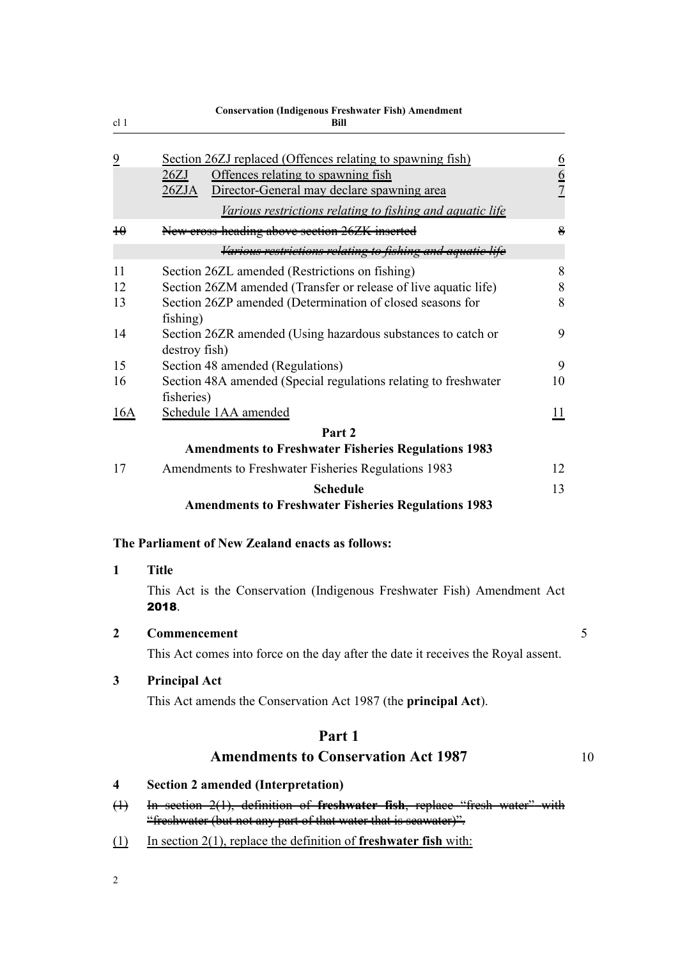<span id="page-15-0"></span>

|                      | <b>Conservation (Indigenous Freshwater Fish) Amendment</b>                                                                                                                                                                   |               |    |
|----------------------|------------------------------------------------------------------------------------------------------------------------------------------------------------------------------------------------------------------------------|---------------|----|
| cl <sub>1</sub>      | Bill                                                                                                                                                                                                                         |               |    |
| $\overline{2}$       | Section 26ZJ replaced (Offences relating to spawning fish)<br>Offences relating to spawning fish<br>26ZJ<br>Director-General may declare spawning area<br>26ZJA<br>Various restrictions relating to fishing and aquatic life | $\frac{6}{6}$ |    |
| $\overline{+}\theta$ | New eross-heading above section 26ZK inserted                                                                                                                                                                                | 8             |    |
|                      | Various restrictions relating to fishing and aquatic                                                                                                                                                                         |               |    |
| 11                   | Section 26ZL amended (Restrictions on fishing)                                                                                                                                                                               | 8             |    |
| 12                   | Section 26ZM amended (Transfer or release of live aquatic life)                                                                                                                                                              | 8             |    |
| 13                   | Section 26ZP amended (Determination of closed seasons for<br>fishing)                                                                                                                                                        | 8             |    |
| 14                   | Section 26ZR amended (Using hazardous substances to catch or<br>destroy fish)                                                                                                                                                | 9             |    |
| 15                   | Section 48 amended (Regulations)                                                                                                                                                                                             | 9             |    |
| 16                   | Section 48A amended (Special regulations relating to freshwater<br>fisheries)                                                                                                                                                | 10            |    |
| 16A                  | Schedule 1AA amended                                                                                                                                                                                                         | 11            |    |
|                      | Part 2                                                                                                                                                                                                                       |               |    |
|                      | <b>Amendments to Freshwater Fisheries Regulations 1983</b>                                                                                                                                                                   |               |    |
| 17                   | Amendments to Freshwater Fisheries Regulations 1983                                                                                                                                                                          | 12            |    |
|                      | <b>Schedule</b>                                                                                                                                                                                                              | 13            |    |
|                      | <b>Amendments to Freshwater Fisheries Regulations 1983</b>                                                                                                                                                                   |               |    |
|                      | The Parliament of New Zealand enacts as follows:                                                                                                                                                                             |               |    |
| 1                    | <b>Title</b>                                                                                                                                                                                                                 |               |    |
|                      | This Act is the Conservation (Indigenous Freshwater Fish) Amendment Act<br>2018.                                                                                                                                             |               |    |
| $\boldsymbol{2}$     | Commencement                                                                                                                                                                                                                 |               | 5  |
|                      | This Act comes into force on the day after the date it receives the Royal assent.                                                                                                                                            |               |    |
| 3                    | <b>Principal Act</b>                                                                                                                                                                                                         |               |    |
|                      | This Act amends the Conservation Act 1987 (the <b>principal Act</b> ).                                                                                                                                                       |               |    |
|                      | Part 1                                                                                                                                                                                                                       |               |    |
|                      | <b>Amendments to Conservation Act 1987</b>                                                                                                                                                                                   |               | 10 |
| 4                    | <b>Section 2 amended (Interpretation)</b>                                                                                                                                                                                    |               |    |
| $\oplus$             | In section $2(1)$ , definition of freshwater fish, replace "fresh water" with<br>"freshwater (but not any part of that water that is seawater)".                                                                             |               |    |
| $\Box$               | In section $2(1)$ , replace the definition of freshwater fish with:                                                                                                                                                          |               |    |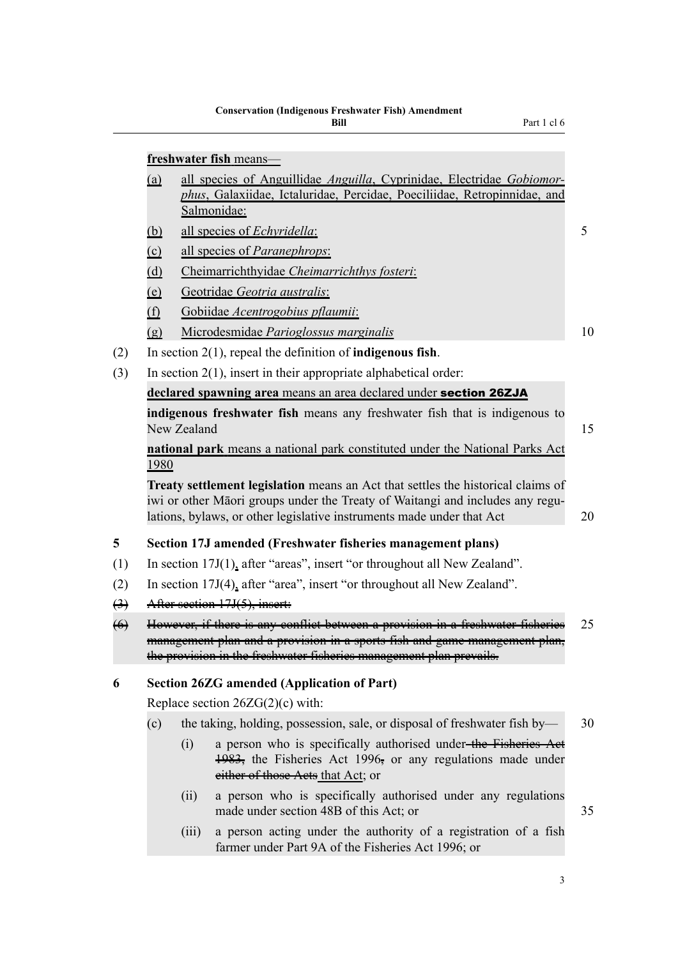Part 1 cl 6

<span id="page-16-0"></span>

|                   | freshwater fish means-                                                                                                                                                                                                                            |                                                                             |                                                                                                                                                                     |    |  |  |  |
|-------------------|---------------------------------------------------------------------------------------------------------------------------------------------------------------------------------------------------------------------------------------------------|-----------------------------------------------------------------------------|---------------------------------------------------------------------------------------------------------------------------------------------------------------------|----|--|--|--|
|                   | all species of Anguillidae Anguilla, Cyprinidae, Electridae Gobiomor-<br>(a)<br>phus, Galaxiidae, Ictaluridae, Percidae, Poeciliidae, Retropinnidae, and<br>Salmonidae:                                                                           |                                                                             |                                                                                                                                                                     |    |  |  |  |
|                   | <u>(b)</u>                                                                                                                                                                                                                                        |                                                                             | all species of Echyridella:                                                                                                                                         | 5  |  |  |  |
|                   | $\circ$                                                                                                                                                                                                                                           |                                                                             | <u>all species of <i>Paranephrops</i></u> :                                                                                                                         |    |  |  |  |
|                   | (d)                                                                                                                                                                                                                                               |                                                                             | Cheimarrichthyidae Cheimarrichthys fosteri:                                                                                                                         |    |  |  |  |
|                   | <u>(e)</u>                                                                                                                                                                                                                                        |                                                                             | Geotridae Geotria australis:                                                                                                                                        |    |  |  |  |
|                   | (f)                                                                                                                                                                                                                                               |                                                                             | Gobiidae Acentrogobius pflaumii:                                                                                                                                    |    |  |  |  |
|                   | $\left( \underline{g} \right)$                                                                                                                                                                                                                    |                                                                             | Microdesmidae Parioglossus marginalis                                                                                                                               | 10 |  |  |  |
| (2)               |                                                                                                                                                                                                                                                   |                                                                             | In section $2(1)$ , repeal the definition of <b>indigenous fish</b> .                                                                                               |    |  |  |  |
| (3)               |                                                                                                                                                                                                                                                   |                                                                             | In section $2(1)$ , insert in their appropriate alphabetical order:                                                                                                 |    |  |  |  |
|                   |                                                                                                                                                                                                                                                   |                                                                             | declared spawning area means an area declared under section 26ZJA                                                                                                   |    |  |  |  |
|                   |                                                                                                                                                                                                                                                   | New Zealand                                                                 | indigenous freshwater fish means any freshwater fish that is indigenous to                                                                                          | 15 |  |  |  |
|                   | 1980                                                                                                                                                                                                                                              |                                                                             | national park means a national park constituted under the National Parks Act                                                                                        |    |  |  |  |
|                   | <b>Treaty settlement legislation</b> means an Act that settles the historical claims of<br>iwi or other Māori groups under the Treaty of Waitangi and includes any regu-<br>lations, bylaws, or other legislative instruments made under that Act |                                                                             |                                                                                                                                                                     |    |  |  |  |
| 5                 |                                                                                                                                                                                                                                                   | Section 17J amended (Freshwater fisheries management plans)                 |                                                                                                                                                                     |    |  |  |  |
| (1)               | In section $17J(1)$ , after "areas", insert "or throughout all New Zealand".                                                                                                                                                                      |                                                                             |                                                                                                                                                                     |    |  |  |  |
| (2)               |                                                                                                                                                                                                                                                   | In section $17J(4)$ , after "area", insert "or throughout all New Zealand". |                                                                                                                                                                     |    |  |  |  |
| $\leftrightarrow$ | After section 17J(5), insert:                                                                                                                                                                                                                     |                                                                             |                                                                                                                                                                     |    |  |  |  |
| $\leftrightarrow$ | However, if there is any conflict between a provision in a freshwater fisheries<br>management plan and a provision in a sports fish and game management plan,<br>the provision in the freshwater fisheries management plan prevails.              |                                                                             |                                                                                                                                                                     | 25 |  |  |  |
| 6                 |                                                                                                                                                                                                                                                   |                                                                             | <b>Section 26ZG amended (Application of Part)</b>                                                                                                                   |    |  |  |  |
|                   | Replace section $26ZG(2)(c)$ with:                                                                                                                                                                                                                |                                                                             |                                                                                                                                                                     |    |  |  |  |
|                   | (c)                                                                                                                                                                                                                                               |                                                                             | the taking, holding, possession, sale, or disposal of freshwater fish by—                                                                                           | 30 |  |  |  |
|                   |                                                                                                                                                                                                                                                   | (i)                                                                         | a person who is specifically authorised under-the Fisheries Aet<br>1983, the Fisheries Act 1996, or any regulations made under<br>either of those Aets that Act; or |    |  |  |  |
|                   |                                                                                                                                                                                                                                                   | (ii)                                                                        | a person who is specifically authorised under any regulations<br>made under section 48B of this Act; or                                                             | 35 |  |  |  |
|                   |                                                                                                                                                                                                                                                   | (iii)                                                                       | a person acting under the authority of a registration of a fish<br>farmer under Part 9A of the Fisheries Act 1996; or                                               |    |  |  |  |
|                   |                                                                                                                                                                                                                                                   |                                                                             |                                                                                                                                                                     |    |  |  |  |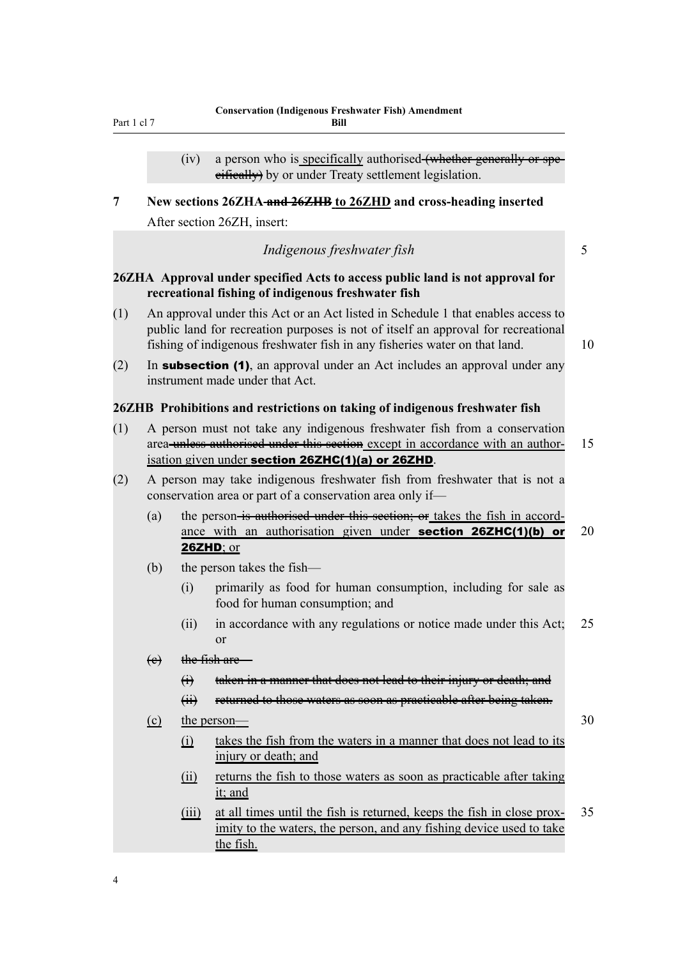<span id="page-17-0"></span>Part 1 cl 7

 $(iv)$  a person who is specifically authorised- $(v)$  a person who is specifically authorised- $(v)$ eifieally) by or under Treaty settlement legislation.

**7 New sections 26ZHA and 26ZHB to 26ZHD and cross-heading inserted** After section 26ZH, insert:

| Indigenous freshwater fish |  |
|----------------------------|--|

### **26ZHA Approval under specified Acts to access public land is not approval for recreational fishing of indigenous freshwater fish**

- (1) An approval under this Act or an Act listed in Schedule 1 that enables access to public land for recreation purposes is not of itself an approval for recreational fishing of indigenous freshwater fish in any fisheries water on that land. 10
- $(2)$  In subsection (1), an approval under an Act includes an approval under any instrument made under that Act.

#### **26ZHB Prohibitions and restrictions on taking of indigenous freshwater fish**

- (1) A person must not take any indigenous freshwater fish from a conservation area-unless authorised under this section except in accordance with an author- 15 isation given under section 26ZHC(1)(a) or 26ZHD.
- (2) A person may take indigenous freshwater fish from freshwater that is not a conservation area or part of a conservation area only if—
	- (a) the person-is authorised under this section; or takes the fish in accordance with an authorisation given under **section 26ZHC(1)(b)** or 20 26ZHD; or
	- (b) the person takes the fish—
		- (i) primarily as food for human consumption, including for sale as food for human consumption; and
		- (ii) in accordance with any regulations or notice made under this Act; 25 or
	- $(e)$  the fish are
		- (i) taken in a manner that does not lead to their injury or death; and
		- (ii) returned to those waters as soon as practicable after being taken.
	- $\epsilon$  the person— 30
		- (i) takes the fish from the waters in a manner that does not lead to its injury or death; and
		- (ii) returns the fish to those waters as soon as practicable after taking it; and
		- (iii) at all times until the fish is returned, keeps the fish in close prox- 35 imity to the waters, the person, and any fishing device used to take the fish.

4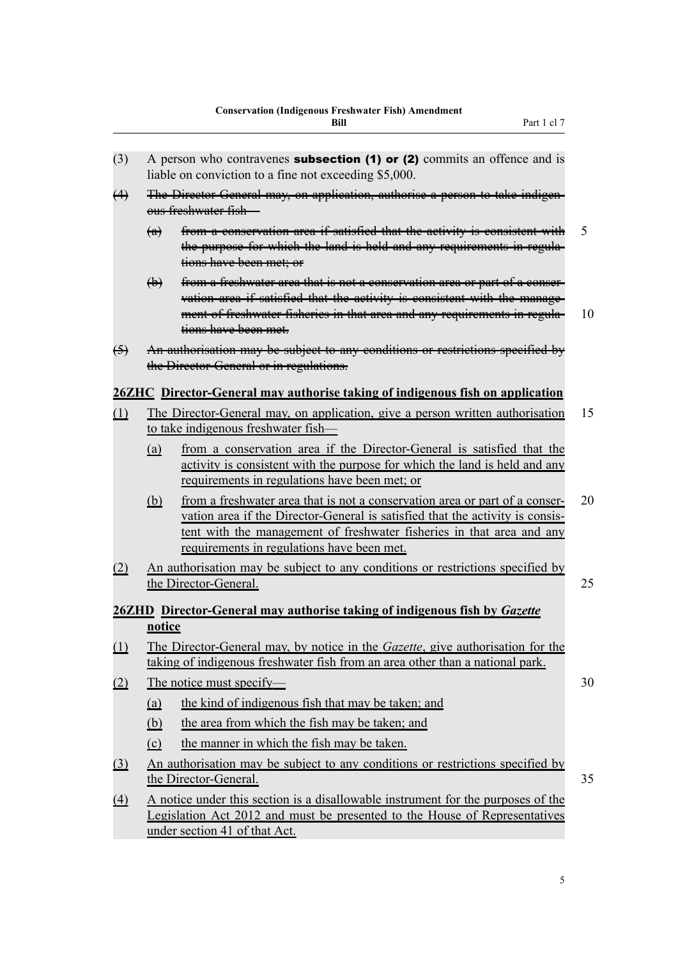- <span id="page-18-0"></span>(4) The Director-General may, on application, authorise a person to take indigenous freshwater fish—
	- (a) from a conservation area if satisfied that the activity is consistent with 5 the purpose for which the land is held and any requirements in regulations have been met; or
	- (b) from a freshwater area that is not a conservation area or part of a conservation area if satisfied that the activity is consistent with the management of freshwater fisheries in that area and any requirements in regula- 10 tions have been met.
- (5) An authorisation may be subject to any conditions or restrictions specified by the Director-General or in regulations.

### **26ZHC Director-General may authorise taking of indigenous fish on application**

- (1) The Director-General may, on application, give a person written authorisation 15 to take indigenous freshwater fish—
	- (a) from a conservation area if the Director-General is satisfied that the activity is consistent with the purpose for which the land is held and any requirements in regulations have been met; or
	- (b) from a freshwater area that is not a conservation area or part of a conser- 20 vation area if the Director-General is satisfied that the activity is consistent with the management of freshwater fisheries in that area and any requirements in regulations have been met.
- (2) An authorisation may be subject to any conditions or restrictions specified by the Director-General. 25

### **26ZHD Director-General may authorise taking of indigenous fish by** *Gazette* **notice**

- (1) The Director-General may, by notice in the *Gazette*, give authorisation for the taking of indigenous freshwater fish from an area other than a national park.
- (2) The notice must specify— 30
	- (a) the kind of indigenous fish that may be taken; and
	- (b) the area from which the fish may be taken; and
	- (c) the manner in which the fish may be taken.
- (3) An authorisation may be subject to any conditions or restrictions specified by the Director-General. 35
- (4) A notice under this section is a disallowable instrument for the purposes of the Legislation Act 2012 and must be presented to the House of Representatives under section 41 of that Act.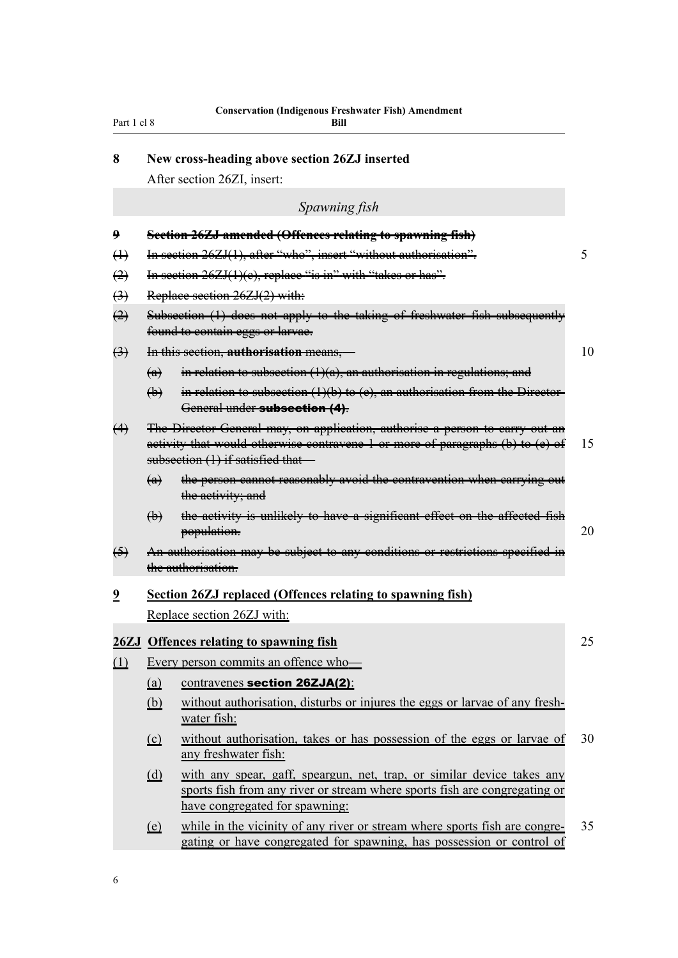<span id="page-19-0"></span>

| 8 | New cross-heading above section 26ZJ inserted |  |  |  |
|---|-----------------------------------------------|--|--|--|
|---|-----------------------------------------------|--|--|--|

After section 26ZI, insert:

#### *Spawning fish*

- **9 Section 26ZJ amended (Offences relating to spawning fish)**
- (1) In section 26ZJ(1), after "who", insert "without authorisation".
- $\left(2\right)$  In section 26ZJ(1)(e), replace "is in" with "takes or has".
- (3) Replace section 26ZJ(2) with:
- (2) Subsection (1) does not apply to the taking of freshwater fish subsequently found to contain eggs or larvae.
- (3) In this section, **authorisation** means,— 10
	- (a) in relation to subsection  $(1)(a)$ , an authorisation in regulations; and
	- (b) in relation to subsection  $(1)(b)$  to  $(e)$ , an authorisation from the Director-General under subsection (4).
- (4) The Director-General may, on application, authorise a person to carry out an activity that would otherwise contravene 1 or more of paragraphs  $(b)$  to  $(c)$  of 15 subsection (1) if satisfied that—
	- (a) the person cannot reasonably avoid the contravention when carrying out the activity; and
	- (b) the activity is unlikely to have a significant effect on the affected fish population. 20
- (5) An authorisation may be subject to any conditions or restrictions specified in the authorisation.

## **9 Section 26ZJ replaced (Offences relating to spawning fish)** Replace section 26ZJ with:

#### **26ZJ Offences relating to spawning fish** 25

- (1) Every person commits an offence who—
	- (a) contravenes section 26ZJA(2):
	- (b) without authorisation, disturbs or injures the eggs or larvae of any freshwater fish:
	- (c) without authorisation, takes or has possession of the eggs or larvae of 30 any freshwater fish:
	- (d) with any spear, gaff, speargun, net, trap, or similar device takes any sports fish from any river or stream where sports fish are congregating or have congregated for spawning:
	- (e) while in the vicinity of any river or stream where sports fish are congre- 35 gating or have congregated for spawning, has possession or control of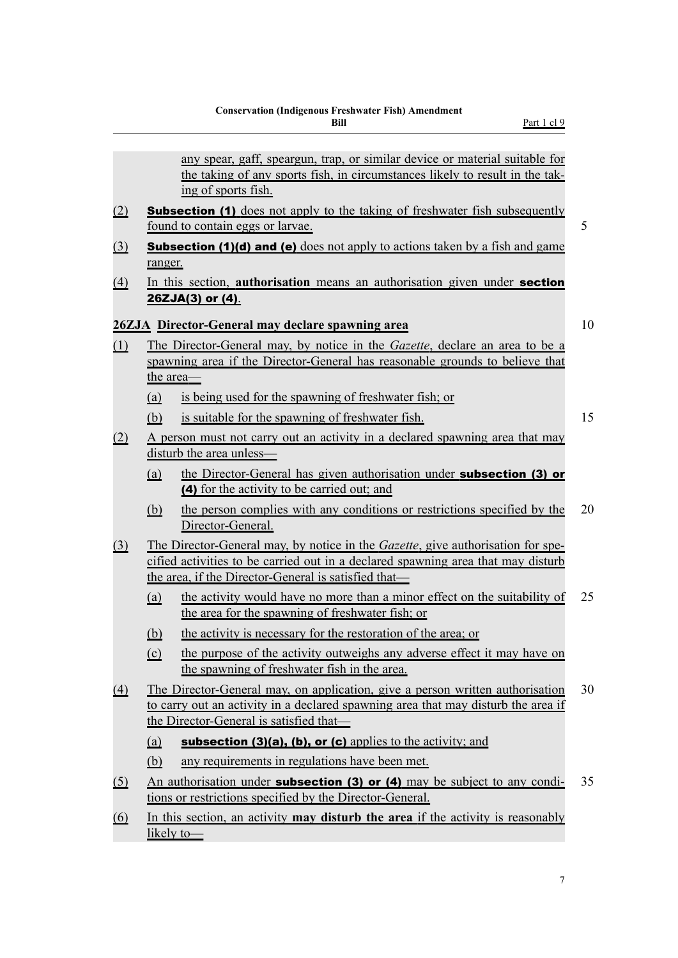<span id="page-20-0"></span>

|             |            | any spear, gaff, speargun, trap, or similar device or material suitable for<br>the taking of any sports fish, in circumstances likely to result in the tak-<br>ing of sports fish.                                                  |    |
|-------------|------------|-------------------------------------------------------------------------------------------------------------------------------------------------------------------------------------------------------------------------------------|----|
| (2)         |            | <b>Subsection (1)</b> does not apply to the taking of freshwater fish subsequently<br>found to contain eggs or larvae.                                                                                                              | 5  |
| $\Omega$    | ranger.    | <b>Subsection (1)(d) and (e)</b> does not apply to actions taken by a fish and game                                                                                                                                                 |    |
| $\triangle$ |            | In this section, authorisation means an authorisation given under section<br>26ZJA(3) or (4).                                                                                                                                       |    |
|             |            | 26ZJA Director-General may declare spawning area                                                                                                                                                                                    | 10 |
| (1)         | the area—  | The Director-General may, by notice in the <i>Gazette</i> , declare an area to be a<br>spawning area if the Director-General has reasonable grounds to believe that                                                                 |    |
|             | (a)        | is being used for the spawning of freshwater fish; or                                                                                                                                                                               |    |
|             | (b)        | is suitable for the spawning of freshwater fish.                                                                                                                                                                                    | 15 |
| (2)         |            | A person must not carry out an activity in a declared spawning area that may<br>disturb the area unless-                                                                                                                            |    |
|             | (a)        | the Director-General has given authorisation under <b>subsection (3) or</b><br>(4) for the activity to be carried out; and                                                                                                          |    |
|             | <u>(b)</u> | the person complies with any conditions or restrictions specified by the<br>Director-General.                                                                                                                                       | 20 |
| $\Omega$    |            | The Director-General may, by notice in the <i>Gazette</i> , give authorisation for spe-<br>cified activities to be carried out in a declared spawning area that may disturb<br>the area, if the Director-General is satisfied that— |    |
|             | (a)        | the activity would have no more than a minor effect on the suitability of<br>the area for the spawning of freshwater fish; or                                                                                                       | 25 |
|             | <u>(b)</u> | the activity is necessary for the restoration of the area; or                                                                                                                                                                       |    |
|             | (c)        | the purpose of the activity outweighs any adverse effect it may have on<br>the spawning of freshwater fish in the area.                                                                                                             |    |
| $\Delta$    |            | The Director-General may, on application, give a person written authorisation<br>to carry out an activity in a declared spawning area that may disturb the area if<br>the Director-General is satisfied that—                       | 30 |
|             | (a)        | subsection $(3)(a)$ , $(b)$ , or $(c)$ applies to the activity; and                                                                                                                                                                 |    |
|             | (b)        | any requirements in regulations have been met.                                                                                                                                                                                      |    |
| <u>(5)</u>  |            | An authorisation under <b>subsection (3) or (4)</b> may be subject to any condi-<br>tions or restrictions specified by the Director-General.                                                                                        | 35 |
| <u>(6)</u>  |            | In this section, an activity <b>may disturb the area</b> if the activity is reasonably<br>likely to-                                                                                                                                |    |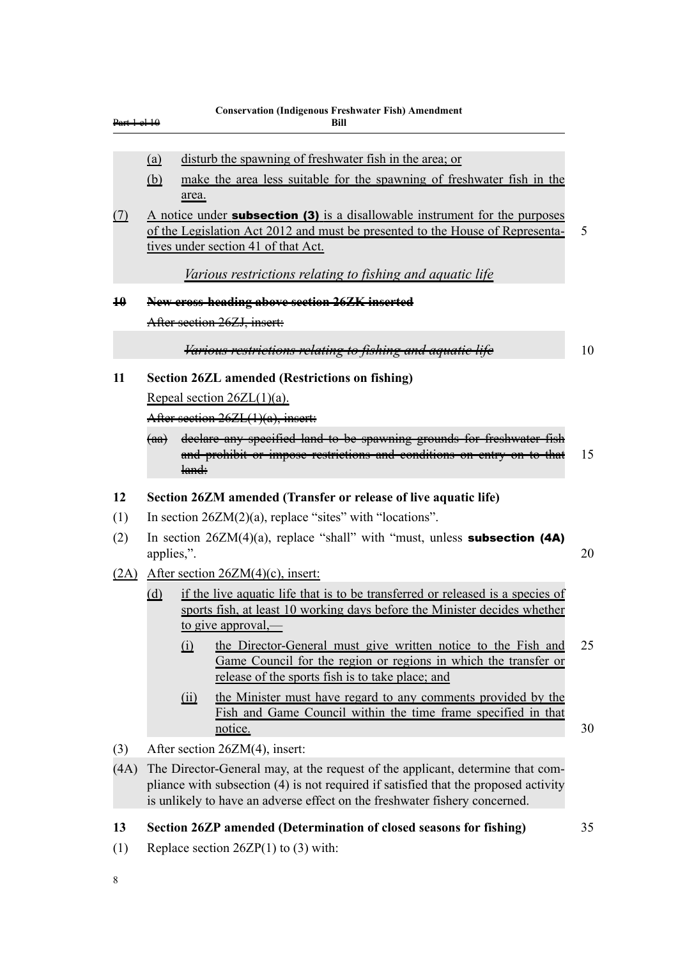<span id="page-21-0"></span>

| <del>Part 1 el 10</del> |                                                                                                                                |                 | <b>Conservation (Indigenous Freshwater Fish) Amendment</b><br>Bill                                                                                                                                                                                                                |    |  |
|-------------------------|--------------------------------------------------------------------------------------------------------------------------------|-----------------|-----------------------------------------------------------------------------------------------------------------------------------------------------------------------------------------------------------------------------------------------------------------------------------|----|--|
|                         | <u>(a)</u><br>(b)                                                                                                              |                 | disturb the spawning of freshwater fish in the area; or<br>make the area less suitable for the spawning of freshwater fish in the                                                                                                                                                 |    |  |
| (7)                     |                                                                                                                                | area.           | A notice under <b>subsection (3)</b> is a disallowable instrument for the purposes<br>of the Legislation Act 2012 and must be presented to the House of Representa-<br>tives under section 41 of that Act.                                                                        | 5  |  |
| $\overline{10}$         |                                                                                                                                |                 | Various restrictions relating to fishing and aquatic life<br>New cross-heading above section 26ZK inserted<br>After section 26ZJ, insert:                                                                                                                                         |    |  |
|                         |                                                                                                                                |                 | Various restrictions relating to fishing and aquatic life                                                                                                                                                                                                                         | 10 |  |
| 11                      | <del>(aa)</del>                                                                                                                |                 | <b>Section 26ZL amended (Restrictions on fishing)</b><br>Repeal section $26ZL(1)(a)$ .<br>After section $26ZL(1)(a)$ , insert:<br>declare any specified land to be spawning grounds for freshwater fish<br>and prohibit or impose restrictions and conditions on entry on to that | 15 |  |
| 12                      |                                                                                                                                | land:           |                                                                                                                                                                                                                                                                                   |    |  |
| (1)                     | Section 26ZM amended (Transfer or release of live aquatic life)<br>In section $26ZM(2)(a)$ , replace "sites" with "locations". |                 |                                                                                                                                                                                                                                                                                   |    |  |
| (2)                     | applies,".                                                                                                                     |                 | In section $26ZM(4)(a)$ , replace "shall" with "must, unless <b>subsection (4A)</b>                                                                                                                                                                                               | 20 |  |
|                         |                                                                                                                                |                 | $(2A)$ After section $26ZM(4)(c)$ , insert:                                                                                                                                                                                                                                       |    |  |
|                         | (d)                                                                                                                            |                 | if the live aquatic life that is to be transferred or released is a species of<br>sports fish, at least 10 working days before the Minister decides whether<br>to give approval,—                                                                                                 |    |  |
|                         |                                                                                                                                | (i)             | the Director-General must give written notice to the Fish and<br>Game Council for the region or regions in which the transfer or<br>release of the sports fish is to take place; and                                                                                              | 25 |  |
|                         |                                                                                                                                | $\overline{11}$ | the Minister must have regard to any comments provided by the<br>Fish and Game Council within the time frame specified in that<br>notice.                                                                                                                                         | 30 |  |
| (3)                     |                                                                                                                                |                 | After section 26ZM(4), insert:                                                                                                                                                                                                                                                    |    |  |
| (4A)                    |                                                                                                                                |                 | The Director-General may, at the request of the applicant, determine that com-<br>pliance with subsection (4) is not required if satisfied that the proposed activity<br>is unlikely to have an adverse effect on the freshwater fishery concerned.                               |    |  |
| 13                      |                                                                                                                                |                 | Section 26ZP amended (Determination of closed seasons for fishing)                                                                                                                                                                                                                | 35 |  |
| (1)                     |                                                                                                                                |                 | Replace section $26ZP(1)$ to (3) with:                                                                                                                                                                                                                                            |    |  |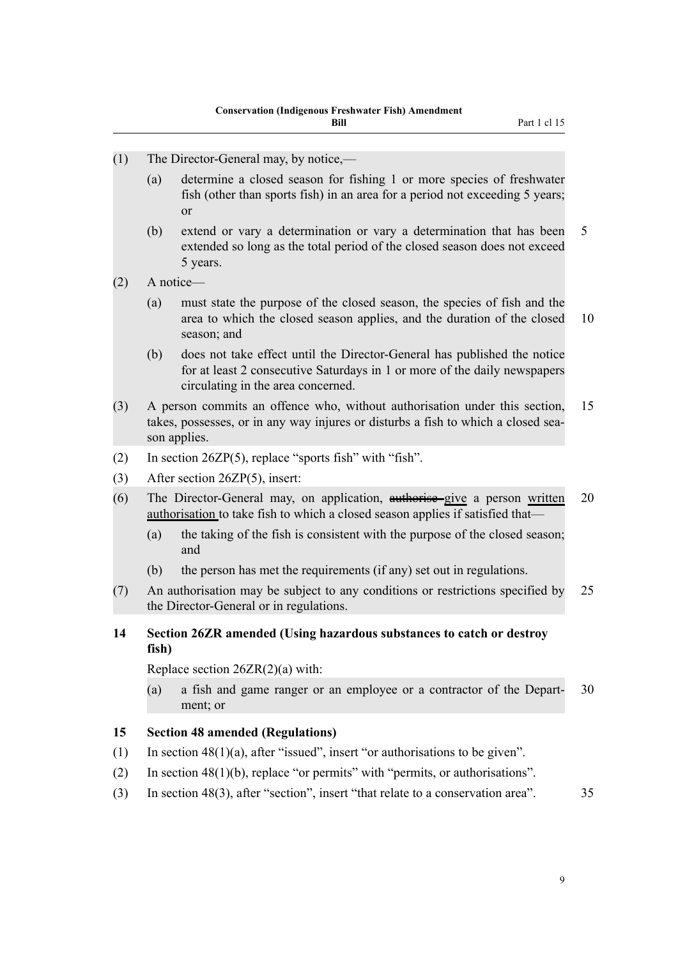- <span id="page-22-0"></span>(1) The Director-General may, by notice,—
	- (a) determine a closed season for fishing 1 or more species of freshwater fish (other than sports fish) in an area for a period not exceeding 5 years; or
	- (b) extend or vary a determination or vary a determination that has been 5 extended so long as the total period of the closed season does not exceed 5 years.

(2) A notice—

- (a) must state the purpose of the closed season, the species of fish and the area to which the closed season applies, and the duration of the closed 10 season; and
- (b) does not take effect until the Director-General has published the notice for at least 2 consecutive Saturdays in 1 or more of the daily newspapers circulating in the area concerned.
- (3) A person commits an offence who, without authorisation under this section, 15 takes, possesses, or in any way injures or disturbs a fish to which a closed season applies.
- (2) In section 26ZP(5), replace "sports fish" with "fish".
- (3) After section 26ZP(5), insert:
- (6) The Director-General may, on application, authorise give a person written 20 authorisation to take fish to which a closed season applies if satisfied that—
	- (a) the taking of the fish is consistent with the purpose of the closed season; and
	- (b) the person has met the requirements (if any) set out in regulations.
- (7) An authorisation may be subject to any conditions or restrictions specified by 25 the Director-General or in regulations.

#### **14 Section 26ZR amended (Using hazardous substances to catch or destroy fish)**

Replace section 26ZR(2)(a) with:

(a) a fish and game ranger or an employee or a contractor of the Depart- 30 ment; or

#### **15 Section 48 amended (Regulations)**

- (1) In section  $48(1)(a)$ , after "issued", insert "or authorisations to be given".
- (2) In section 48(1)(b), replace "or permits" with "permits, or authorisations".
- (3) In section 48(3), after "section", insert "that relate to a conservation area". 35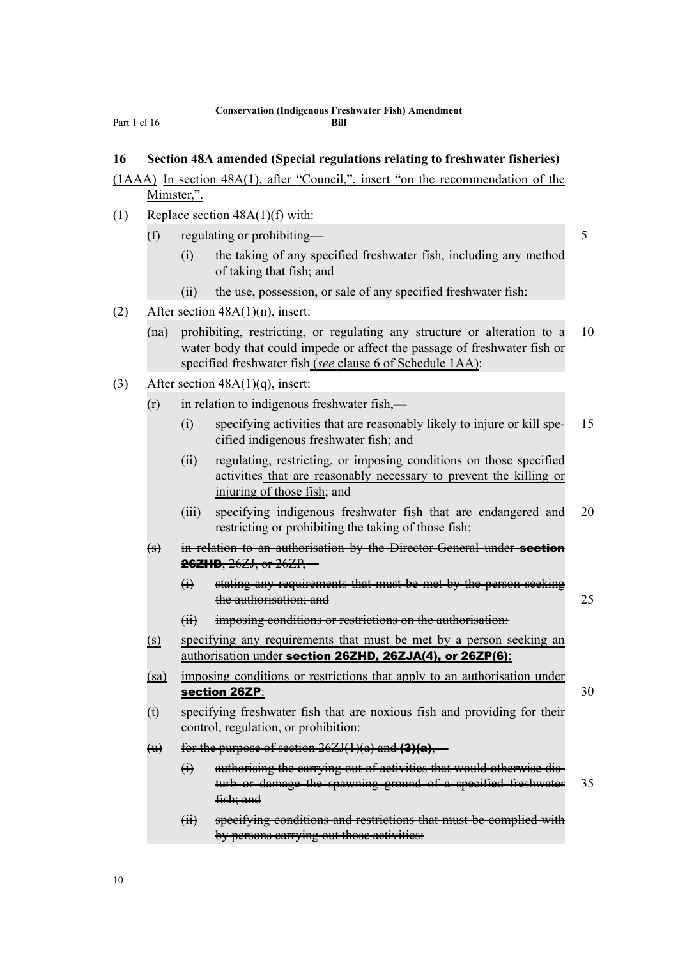#### **Bill**

#### <span id="page-23-0"></span>**16 Section 48A amended (Special regulations relating to freshwater fisheries)**

## (1AAA) In section 48A(1), after "Council,", insert "on the recommendation of the Minister,".

- (1) Replace section  $48A(1)(f)$  with:
	- (f) regulating or prohibiting— 5
		- (i) the taking of any specified freshwater fish, including any method of taking that fish; and
		- (ii) the use, possession, or sale of any specified freshwater fish:
- (2) After section  $48A(1)(n)$ , insert:
	- (na) prohibiting, restricting, or regulating any structure or alteration to a 10 water body that could impede or affect the passage of freshwater fish or specified freshwater fish (*see* clause 6 of Schedule 1AA):
- (3) After section 48A(1)(q), insert:
	- $(r)$  in relation to indigenous freshwater fish,—
		- (i) specifying activities that are reasonably likely to injure or kill spe- 15 cified indigenous freshwater fish; and
		- (ii) regulating, restricting, or imposing conditions on those specified activities that are reasonably necessary to prevent the killing or injuring of those fish; and
		- (iii) specifying indigenous freshwater fish that are endangered and 20 restricting or prohibiting the taking of those fish:
	- (s) in relation to an authorisation by the Director General under section 26ZHB, 26ZJ, or 26ZP,—
		- (i) stating any requirements that must be met by the person seeking the authorisation; and 25
		- (ii) imposing conditions or restrictions on the authorisation:
	- (s) specifying any requirements that must be met by a person seeking an authorisation under section 26ZHD, 26ZJA(4), or 26ZP(6):
	- (sa) imposing conditions or restrictions that apply to an authorisation under section 26ZP:  $30$
	- (t) specifying freshwater fish that are noxious fish and providing for their control, regulation, or prohibition:
	- (u) for the purpose of section  $26ZJ(1)(a)$  and  $(3)(a)$ ,
		- (i) authorising the carrying out of activities that would otherwise disturb or damage the spawning ground of a specified freshwater 35  $fish$ ; and
		- (ii) specifying conditions and restrictions that must be complied with by persons carrying out those activities: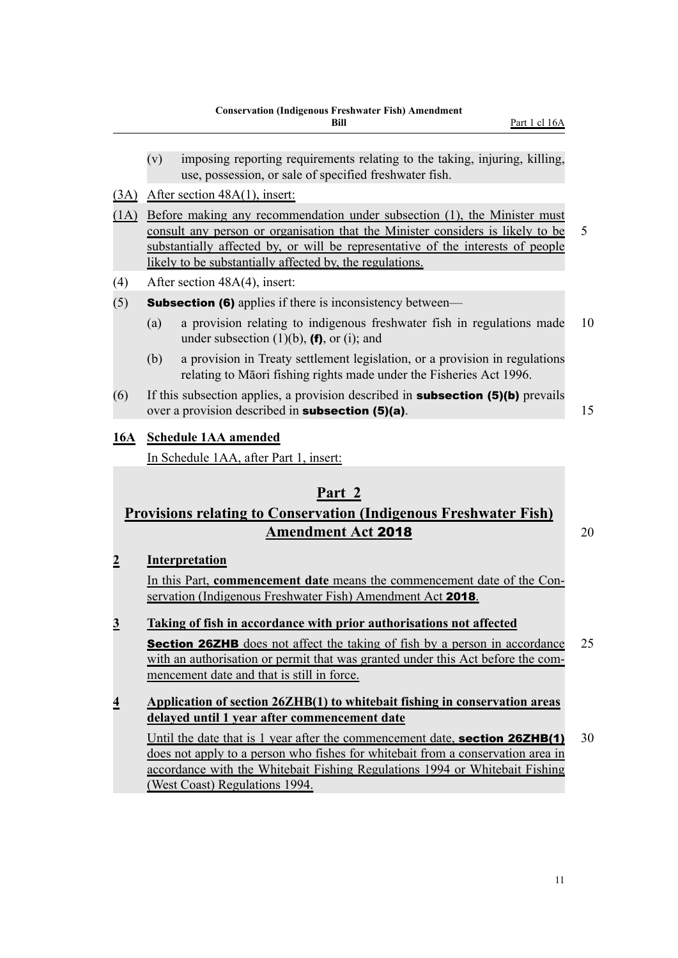- 
- <span id="page-24-0"></span>(v) imposing reporting requirements relating to the taking, injuring, killing, use, possession, or sale of specified freshwater fish.
- (3A) After section 48A(1), insert:
- (1A) Before making any recommendation under subsection (1), the Minister must consult any person or organisation that the Minister considers is likely to be 5 substantially affected by, or will be representative of the interests of people likely to be substantially affected by, the regulations.
- (4) After section 48A(4), insert:
- (5) **Subsection (6)** applies if there is inconsistency between—
	- (a) a provision relating to indigenous freshwater fish in regulations made 10 under subsection  $(1)(b)$ ,  $(f)$ , or  $(i)$ ; and
	- (b) a provision in Treaty settlement legislation, or a provision in regulations relating to Māori fishing rights made under the Fisheries Act 1996.
- (6) If this subsection applies, a provision described in **subsection (5)(b)** prevails over a provision described in **subsection (5)(a)**. 15

#### **16A Schedule 1AA amended**

In Schedule 1AA, after Part 1, insert:

## **Part 2**

## **Provisions relating to Conservation (Indigenous Freshwater Fish) Amendment Act 2018** 20

#### **2 Interpretation**

In this Part, **commencement date** means the commencement date of the Conservation (Indigenous Freshwater Fish) Amendment Act 2018.

#### **3 Taking of fish in accordance with prior authorisations not affected**

**Section 26ZHB** does not affect the taking of fish by a person in accordance 25 with an authorisation or permit that was granted under this Act before the commencement date and that is still in force.

#### **4 Application of section 26ZHB(1) to whitebait fishing in conservation areas delayed until 1 year after commencement date**

Until the date that is 1 year after the commencement date, **section 26ZHB(1)** 30 does not apply to a person who fishes for whitebait from a conservation area in accordance with the Whitebait Fishing Regulations 1994 or Whitebait Fishing (West Coast) Regulations 1994.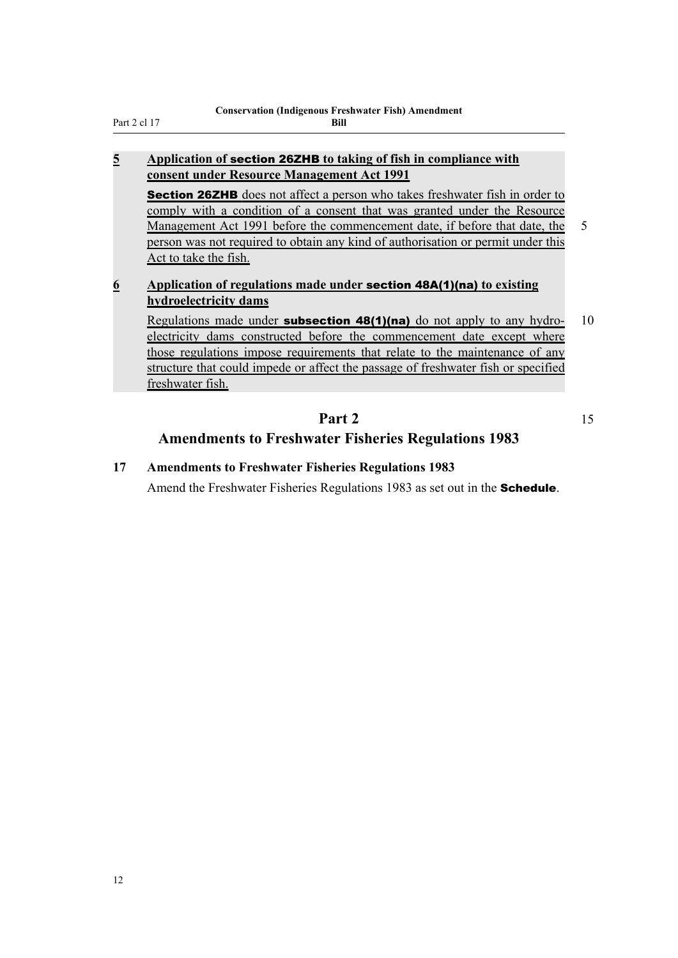<span id="page-25-0"></span>Part 2 cl 17

#### **5 Application of** section 26ZHB **to taking of fish in compliance with consent under Resource Management Act 1991**

**Section 26ZHB** does not affect a person who takes freshwater fish in order to comply with a condition of a consent that was granted under the Resource Management Act 1991 before the commencement date, if before that date, the 5 person was not required to obtain any kind of authorisation or permit under this Act to take the fish.

## **6 Application of regulations made under** section 48A(1)(na) **to existing hydroelectricity dams**

Regulations made under **subsection 48(1)(na)** do not apply to any hydro- 10 electricity dams constructed before the commencement date except where those regulations impose requirements that relate to the maintenance of any structure that could impede or affect the passage of freshwater fish or specified freshwater fish.

## **Part 2** 15 **Amendments to Freshwater Fisheries Regulations 1983**

### **17 Amendments to Freshwater Fisheries Regulations 1983**

Amend the Freshwater Fisheries Regulations 1983 as set out in the **Schedule**.